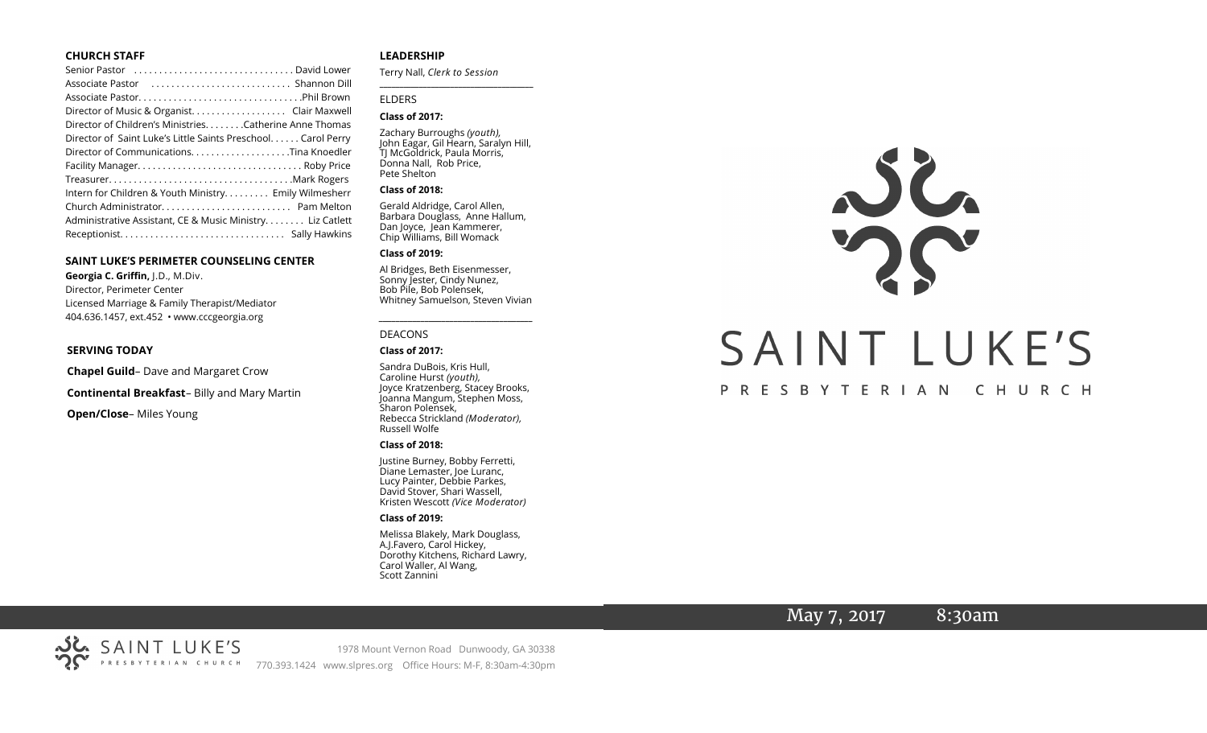#### **CHURCH STAFF**

| Senior Pastor (all contained all contained all contact senior Pastor (all contact senior Senior David Lower |
|-------------------------------------------------------------------------------------------------------------|
|                                                                                                             |
|                                                                                                             |
| Director of Music & Organist. Clair Maxwell                                                                 |
| Director of Children's Ministries. Catherine Anne Thomas                                                    |
| Director of Saint Luke's Little Saints Preschool Carol Perry                                                |
| Director of CommunicationsTina Knoedler                                                                     |
|                                                                                                             |
|                                                                                                             |
| Intern for Children & Youth Ministry Emily Wilmesherr                                                       |
|                                                                                                             |
| Administrative Assistant, CE & Music Ministry Liz Catlett                                                   |
|                                                                                                             |

#### **SAINT LUKE'S PERIMETER COUNSELING CENTER**

**Georgia C. Griffin,** J.D., M.Div. Director, Perimeter Center Licensed Marriage & Family Therapist/Mediator 404.636.1457, ext.452 • www.cccgeorgia.org

#### **SERVING TODAY**

**Chapel Guild**– Dave and Margaret Crow

**Continental Breakfast**– Billy and Mary Martin

**Open/Close**– Miles Young

#### **LEADERSHIP**

Terry Nall, *Clerk to Session*  **\_\_\_\_\_\_\_\_\_\_\_\_\_\_\_\_\_\_\_\_\_\_\_\_\_\_\_\_\_\_\_\_\_\_\_\_\_\_\_**

#### ELDERS

#### **Class of 2017:**

Zachary Burroughs *(youth),*  John Eagar, Gil Hearn, Saralyn Hill, TJ McGoldrick, Paula Morris, Donna Nall, Rob Price, Pete Shelton

#### **Class of 2018:**

Gerald Aldridge, Carol Allen, Barbara Douglass, Anne Hallum, Dan Joyce, Jean Kammerer, Chip Williams, Bill Womack

#### **Class of 2019:**

Al Bridges, Beth Eisenmesser, Sonny Jester, Cindy Nunez, Bob Pile, Bob Polensek, Whitney Samuelson, Steven Vivian

*\_\_\_\_\_\_\_\_\_\_\_\_\_\_\_\_\_\_\_\_\_\_\_\_\_\_\_\_\_\_\_\_\_\_\_\_\_*

#### DEACONS

#### **Class of 2017:**

Sandra DuBois, Kris Hull, Caroline Hurst *(youth),* Joyce Kratzenberg, Stacey Brooks, Joanna Mangum, Stephen Moss, Sharon Polensek, Rebecca Strickland *(Moderator),*  Russell Wolfe

#### **Class of 2018:**

Justine Burney, Bobby Ferretti, Diane Lemaster, Joe Luranc, Lucy Painter, Debbie Parkes, David Stover, Shari Wassell, Kristen Wescott *(Vice Moderator)*

#### **Class of 2019:**

Melissa Blakely, Mark Douglass, A.J.Favero, Carol Hickey, Dorothy Kitchens, Richard Lawry, Carol Waller, Al Wang, Scott Zannini



## May 7, 2017 8:30am

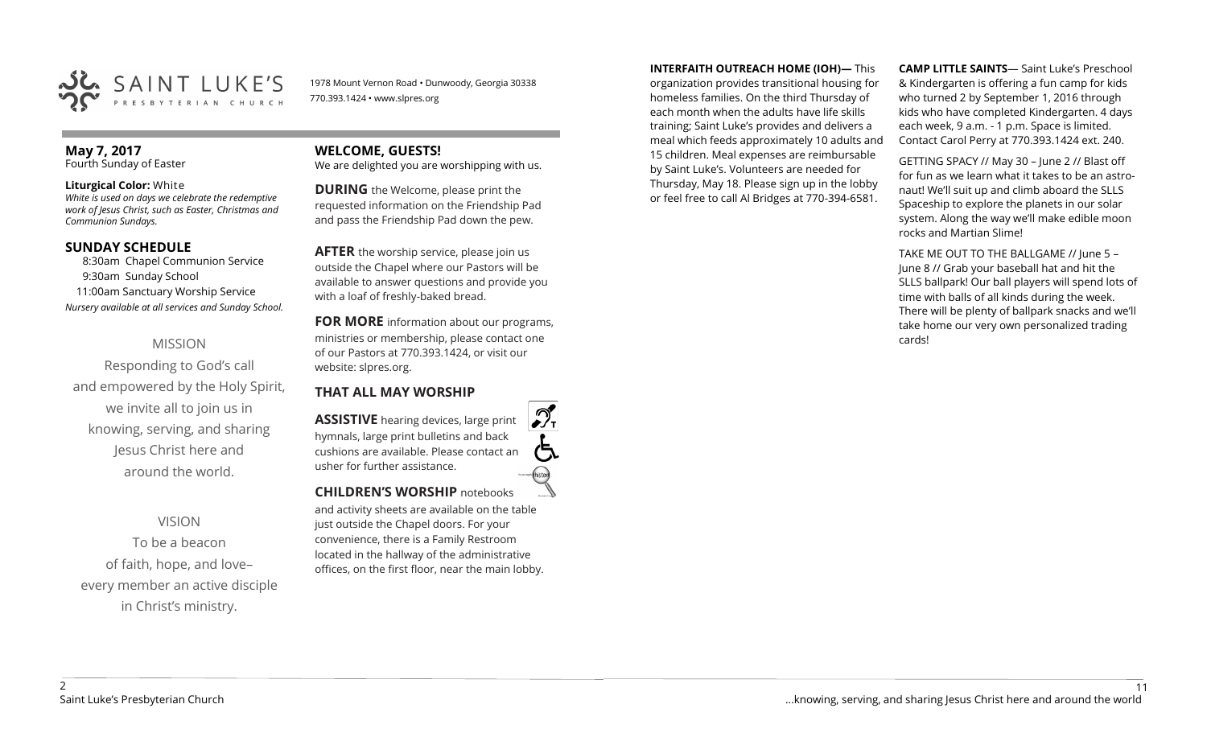

1978 Mount Vernon Road • Dunwoody, Georgia 30338 770.393.1424 • www.slpres.org

## **May 7, 2017**

Fourth Sunday of Easter

#### **Liturgical Color:** White

*White is used on days we celebrate the redemptive work of Jesus Christ, such as Easter, Christmas and Communion Sundays.*

## **SUNDAY SCHEDULE**

8:30am Chapel Communion Service 9:30am Sunday School 11:00am Sanctuary Worship Service *Nursery available at all services and Sunday School.*

## MISSION

Responding to God's call and empowered by the Holy Spirit, we invite all to join us in knowing, serving, and sharing Jesus Christ here and around the world.

## VISION

To be a beacon of faith, hope, and love– every member an active disciple in Christ's ministry.

# **WELCOME, GUESTS!**

We are delighted you are worshipping with us.

**DURING** the Welcome, please print the requested information on the Friendship Pad and pass the Friendship Pad down the pew.

**AFTER** the worship service, please join us outside the Chapel where our Pastors will be available to answer questions and provide you with a loaf of freshly-baked bread.

**FOR MORE** information about our programs, ministries or membership, please contact one of our Pastors at 770.393.1424, or visit our website: slpres.org.

## **THAT ALL MAY WORSHIP**

**ASSISTIVE** hearing devices, large print hymnals, large print bulletins and back cushions are available. Please contact an usher for further assistance. **CHILDREN'S WORSHIP** notebooks

and activity sheets are available on the table just outside the Chapel doors. For your convenience, there is a Family Restroom located in the hallway of the administrative offices, on the first floor, near the main lobby. **INTERFAITH OUTREACH HOME (IOH)—** This

organization provides transitional housing for homeless families. On the third Thursday of each month when the adults have life skills training; Saint Luke's provides and delivers a meal which feeds approximately 10 adults and 15 children. Meal expenses are reimbursable by Saint Luke's. Volunteers are needed for Thursday, May 18. Please sign up in the lobby or feel free to call Al Bridges at 770-394-6581.

**CAMP LITTLE SAINTS**— Saint Luke's Preschool & Kindergarten is offering a fun camp for kids who turned 2 by September 1, 2016 through kids who have completed Kindergarten. 4 days each week, 9 a.m. - 1 p.m. Space is limited. Contact Carol Perry at 770.393.1424 ext. 240.

GETTING SPACY // May 30 – June 2 // Blast off for fun as we learn what it takes to be an astronaut! We'll suit up and climb aboard the SLLS Spaceship to explore the planets in our solar system. Along the way we'll make edible moon rocks and Martian Slime!

TAKE ME OUT TO THE BALLGAME // June 5 – June 8 // Grab your baseball hat and hit the SLLS ballpark! Our ball players will spend lots of time with balls of all kinds during the week. There will be plenty of ballpark snacks and we'll take home our very own personalized trading cards!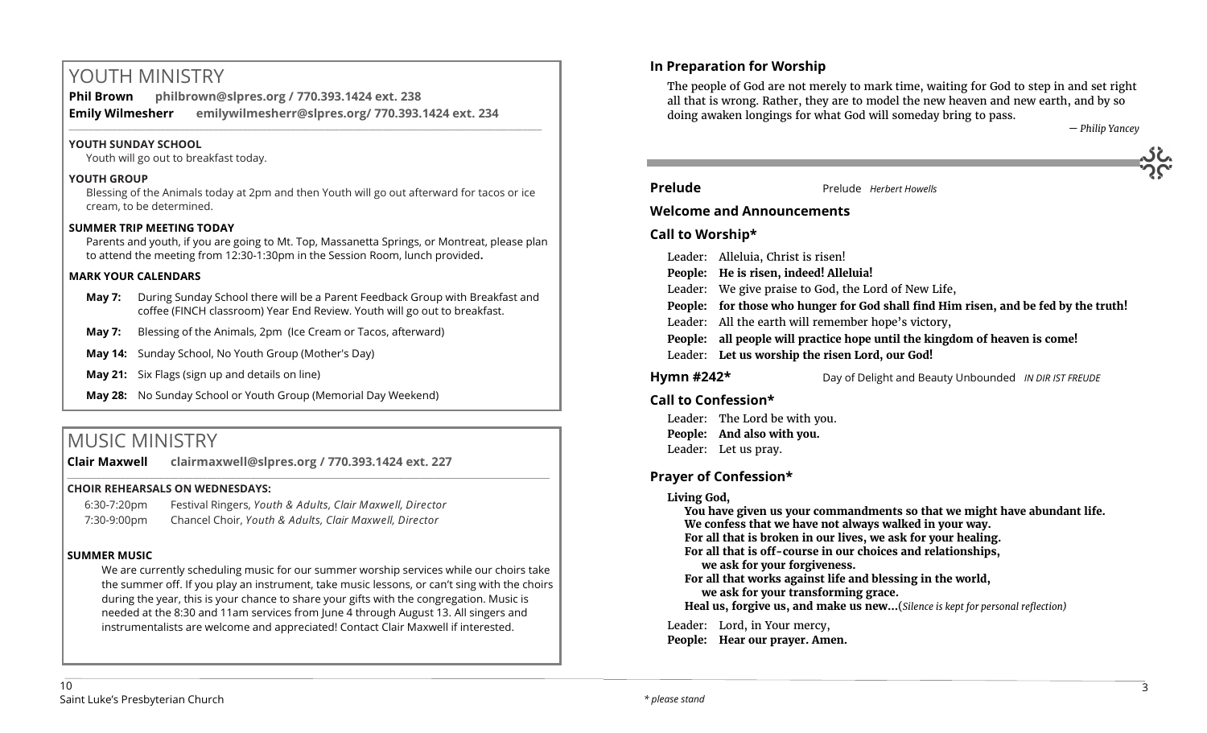# YOUTH MINISTRY

**Phil Brown philbrown@slpres.org / 770.393.1424 ext. 238 Emily Wilmesherr emilywilmesherr@slpres.org/ 770.393.1424 ext. 234**   $\_$  ,  $\_$  ,  $\_$  ,  $\_$  ,  $\_$  ,  $\_$  ,  $\_$  ,  $\_$  ,  $\_$  ,  $\_$  ,  $\_$  ,  $\_$  ,  $\_$  ,  $\_$  ,  $\_$  ,  $\_$  ,  $\_$  ,  $\_$  ,  $\_$  ,  $\_$  ,  $\_$  ,  $\_$  ,  $\_$  ,  $\_$  ,  $\_$  ,  $\_$  ,  $\_$  ,  $\_$  ,  $\_$  ,  $\_$  ,  $\_$  ,  $\_$  ,  $\_$  ,  $\_$  ,  $\_$  ,  $\_$  ,  $\_$  ,

## **YOUTH SUNDAY SCHOOL**

Youth will go out to breakfast today.

#### **YOUTH GROUP**

Blessing of the Animals today at 2pm and then Youth will go out afterward for tacos or ice cream, to be determined.

## **SUMMER TRIP MEETING TODAY**

Parents and youth, if you are going to Mt. Top, Massanetta Springs, or Montreat, please plan to attend the meeting from 12:30-1:30pm in the Session Room, lunch provided**.** 

#### **MARK YOUR CALENDARS**

**May 7:** During Sunday School there will be a Parent Feedback Group with Breakfast and coffee (FINCH classroom) Year End Review. Youth will go out to breakfast.

\_\_\_\_\_\_\_\_\_\_\_\_\_\_\_\_\_\_\_\_\_\_\_\_\_\_\_\_\_\_\_\_\_\_\_\_\_\_\_\_\_\_\_\_\_\_\_\_\_\_\_\_\_\_\_\_\_\_\_\_\_\_\_\_\_\_\_\_\_\_\_\_\_\_\_\_\_\_\_\_\_\_\_\_\_\_\_\_\_\_\_\_\_\_\_\_\_\_\_\_

- **May 7:** Blessing of the Animals, 2pm (Ice Cream or Tacos, afterward)
- **May 14:** Sunday School, No Youth Group (Mother's Day)
- **May 21:** Six Flags (sign up and details on line)
- **May 28:** No Sunday School or Youth Group (Memorial Day Weekend)

# MUSIC MINISTRY

**Clair Maxwell clairmaxwell@slpres.org / 770.393.1424 ext. 227** 

## **CHOIR REHEARSALS ON WEDNESDAYS:**

| 6:30-7:20pm | Festival Ringers, Youth & Adults, Clair Maxwell, Director |
|-------------|-----------------------------------------------------------|
| 7:30-9:00pm | Chancel Choir, Youth & Adults, Clair Maxwell, Director    |

## **SUMMER MUSIC**

We are currently scheduling music for our summer worship services while our choirs take the summer off. If you play an instrument, take music lessons, or can't sing with the choirs during the year, this is your chance to share your gifts with the congregation. Music is needed at the 8:30 and 11am services from June 4 through August 13. All singers and instrumentalists are welcome and appreciated! Contact Clair Maxwell if interested.

## **In Preparation for Worship**

The people of God are not merely to mark time, waiting for God to step in and set right all that is wrong. Rather, they are to model the new heaven and new earth, and by so doing awaken longings for what God will someday bring to pass.

*— Philip Yancey*

**Prelude** Prelude *Herbert Howells* 

## **Welcome and Announcements**

## **Call to Worship\***

|  | Leader: Alleluia, Christ is risen!                                                  |  |
|--|-------------------------------------------------------------------------------------|--|
|  | People: He is risen, indeed! Alleluia!                                              |  |
|  | Leader: We give praise to God, the Lord of New Life,                                |  |
|  | People: for those who hunger for God shall find Him risen, and be fed by the truth! |  |
|  | Leader: All the earth will remember hope's victory,                                 |  |
|  | People: all people will practice hope until the kingdom of heaven is come!          |  |
|  | Leader: Let us worship the risen Lord, our God!                                     |  |
|  |                                                                                     |  |

**Hymn #242\*** Day of Delight and Beauty Unbounded *IN DIR IST FREUDE*

## **Call to Confession\***

Leader: The Lord be with you. **People: And also with you.** Leader: Let us pray.

## **Prayer of Confession\***

**Living God,** 

**You have given us your commandments so that we might have abundant life. We confess that we have not always walked in your way. For all that is broken in our lives, we ask for your healing. For all that is off-course in our choices and relationships, we ask for your forgiveness. For all that works against life and blessing in the world, we ask for your transforming grace. Heal us, forgive us, and make us new…**(*Silence is kept for personal reflection)*  Leader: Lord, in Your mercy,

**People: Hear our prayer. Amen.**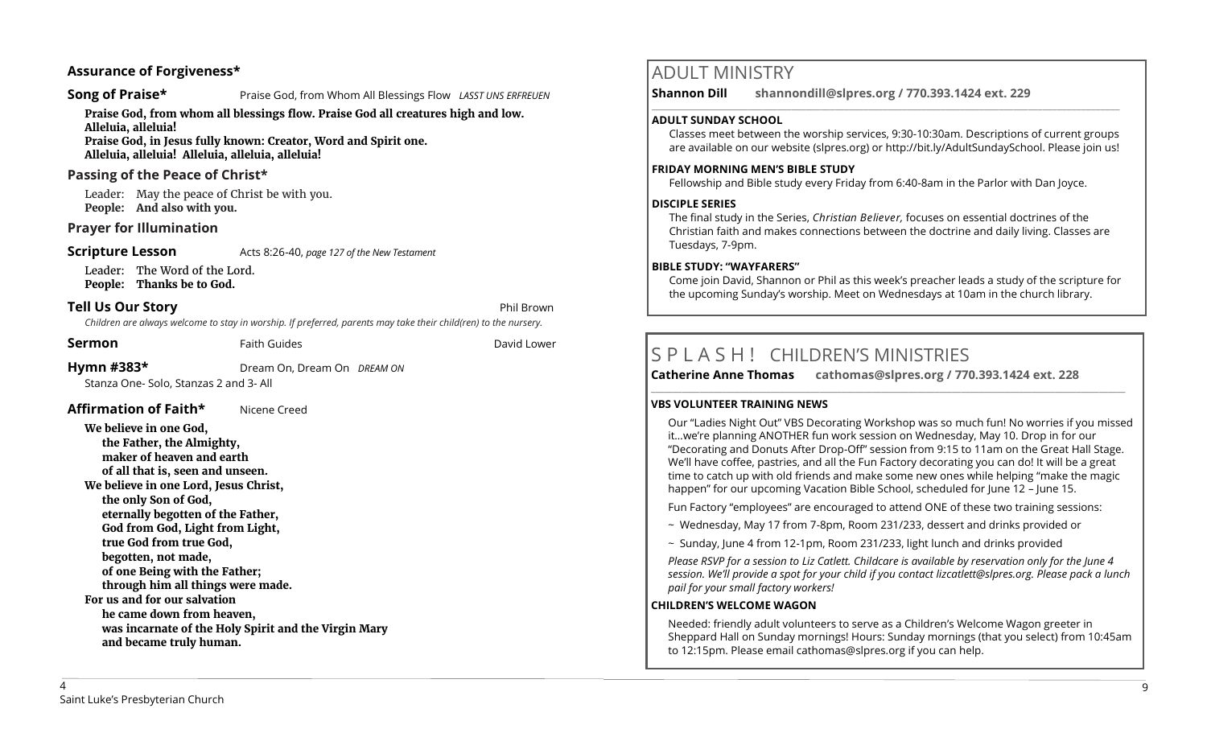## **Assurance of Forgiveness\***

#### **Song of Praise\* Praise God, from Whom All Blessings Flow** *LASST UNS ERFREUEN*

**Praise God, from whom all blessings flow. Praise God all creatures high and low.** 

**Alleluia, alleluia! Praise God, in Jesus fully known: Creator, Word and Spirit one. Alleluia, alleluia! Alleluia, alleluia, alleluia!** 

## **Passing of the Peace of Christ\***

Leader: May the peace of Christ be with you. **People: And also with you.**

## **Prayer for Illumination**

#### **Scripture Lesson** Acts 8:26-40, *page 127 of the New Testament*

Leader: The Word of the Lord. **People: Thanks be to God.**

## **Tell Us Our Story Phil Brown Phil Brown**

*Children are always welcome to stay in worship. If preferred, parents may take their child(ren) to the nursery.*

**Sermon** Faith Guides **Example 2** David Lower

#### **Hymn #383\*** Dream On, Dream On *DREAM ON*

Stanza One- Solo, Stanzas 2 and 3- All

**Affirmation of Faith\*** Nicene Creed

#### **We believe in one God, the Father, the Almighty, maker of heaven and earth of all that is, seen and unseen. We believe in one Lord, Jesus Christ, the only Son of God, eternally begotten of the Father, God from God, Light from Light, true God from true God, begotten, not made, of one Being with the Father; through him all things were made. For us and for our salvation he came down from heaven, was incarnate of the Holy Spirit and the Virgin Mary and became truly human.**

## ADULT MINISTRY

**Shannon Dill shannondill@slpres.org / 770.393.1424 ext. 229**   $\_$  ,  $\_$  ,  $\_$  ,  $\_$  ,  $\_$  ,  $\_$  ,  $\_$  ,  $\_$  ,  $\_$  ,  $\_$  ,  $\_$  ,  $\_$  ,  $\_$  ,  $\_$  ,  $\_$  ,  $\_$  ,  $\_$  ,  $\_$  ,  $\_$ 

#### **ADULT SUNDAY SCHOOL**

Classes meet between the worship services, 9:30-10:30am. Descriptions of current groups are available on our website (slpres.org) or http://bit.ly/AdultSundaySchool. Please join us!

#### **FRIDAY MORNING MEN'S BIBLE STUDY**

Fellowship and Bible study every Friday from 6:40-8am in the Parlor with Dan Joyce.

#### **DISCIPLE SERIES**

The final study in the Series, *Christian Believer,* focuses on essential doctrines of the Christian faith and makes connections between the doctrine and daily living. Classes are Tuesdays, 7-9pm.

#### **BIBLE STUDY: "WAYFARERS"**

Come join David, Shannon or Phil as this week's preacher leads a study of the scripture for the upcoming Sunday's worship. Meet on Wednesdays at 10am in the church library.

**\_\_\_\_\_\_\_\_\_\_\_\_\_\_\_\_\_\_\_\_\_\_\_\_\_\_\_\_\_\_\_\_\_\_\_\_\_\_\_\_\_\_\_\_\_\_\_\_\_\_\_\_\_\_\_\_\_\_\_\_\_\_\_\_\_\_\_\_\_\_\_\_\_\_\_\_\_\_\_\_\_\_\_\_\_\_\_\_\_\_\_\_\_\_\_\_\_\_\_\_\_\_\_\_\_\_\_** 

# S P L A S H ! CHILDREN'S MINISTRIES

**Catherine Anne Thomas cathomas@slpres.org / 770.393.1424 ext. 228** 

#### **VBS VOLUNTEER TRAINING NEWS**

Our "Ladies Night Out" VBS Decorating Workshop was so much fun! No worries if you missed it…we're planning ANOTHER fun work session on Wednesday, May 10. Drop in for our "Decorating and Donuts After Drop-Off" session from 9:15 to 11am on the Great Hall Stage. We'll have coffee, pastries, and all the Fun Factory decorating you can do! It will be a great time to catch up with old friends and make some new ones while helping "make the magic happen" for our upcoming Vacation Bible School, scheduled for June 12 – June 15.

Fun Factory "employees" are encouraged to attend ONE of these two training sessions:

- ~ Wednesday, May 17 from 7-8pm, Room 231/233, dessert and drinks provided or
- $\sim$  Sunday, June 4 from 12-1pm, Room 231/233, light lunch and drinks provided

*Please RSVP for a session to Liz Catlett. Childcare is available by reservation only for the June 4 session. We'll provide a spot for your child if you contact [lizcatlett@slpres.org.](mailto:lizcatlett@slpres.org) Please pack a lunch pail for your small factory workers!*

#### **CHILDREN'S WELCOME WAGON**

Needed: friendly adult volunteers to serve as a Children's Welcome Wagon greeter in Sheppard Hall on Sunday mornings! Hours: Sunday mornings (that you select) from 10:45am to 12:15pm. Please email [cathomas@slpres.org](mailto:cathomas@slpres.org) if you can help.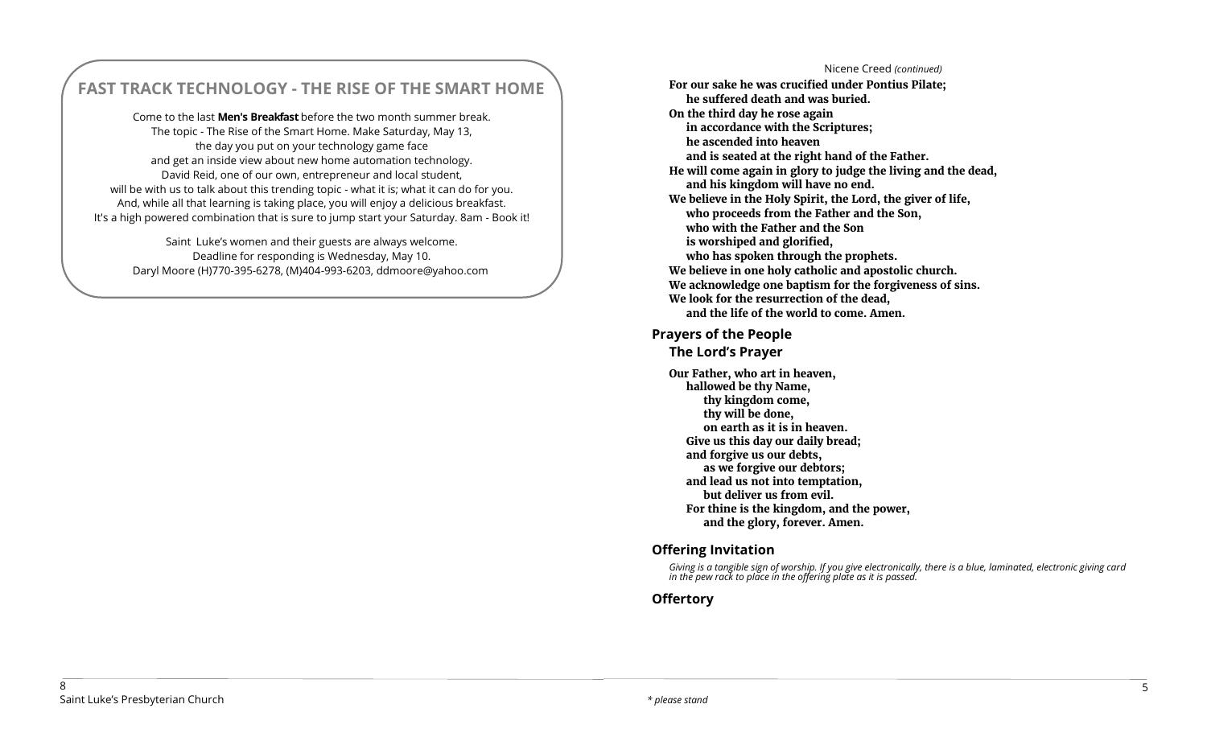# **FAST TRACK TECHNOLOGY - THE RISE OF THE SMART HOME**

Come to the last **Men's Breakfast** before the two month summer break. The topic - The Rise of the Smart Home. Make Saturday, May 13, the day you put on your technology game face and get an inside view about new home automation technology. David Reid, one of our own, entrepreneur and local student, will be with us to talk about this trending topic - what it is; what it can do for you. And, while all that learning is taking place, you will enjoy a delicious breakfast. It's a high powered combination that is sure to jump start your Saturday. 8am - Book it!

Saint Luke's women and their guests are always welcome. Deadline for responding is Wednesday, May 10. Daryl Moore (H)770-395-6278, (M)404-993-6203, ddmoore@yahoo.com

Nicene Creed *(continued)* **For our sake he was crucified under Pontius Pilate; he suffered death and was buried. On the third day he rose again in accordance with the Scriptures; he ascended into heaven and is seated at the right hand of the Father. He will come again in glory to judge the living and the dead, and his kingdom will have no end. We believe in the Holy Spirit, the Lord, the giver of life, who proceeds from the Father and the Son, who with the Father and the Son is worshiped and glorified, who has spoken through the prophets. We believe in one holy catholic and apostolic church. We acknowledge one baptism for the forgiveness of sins. We look for the resurrection of the dead, and the life of the world to come. Amen.** 

## **Prayers of the People**

## **The Lord's Prayer**

**Our Father, who art in heaven, hallowed be thy Name, thy kingdom come, thy will be done, on earth as it is in heaven. Give us this day our daily bread; and forgive us our debts, as we forgive our debtors; and lead us not into temptation, but deliver us from evil. For thine is the kingdom, and the power, and the glory, forever. Amen.**

## **Offering Invitation**

*Giving is a tangible sign of worship. If you give electronically, there is a blue, laminated, electronic giving card in the pew rack to place in the offering plate as it is passed.*

## **Offertory**